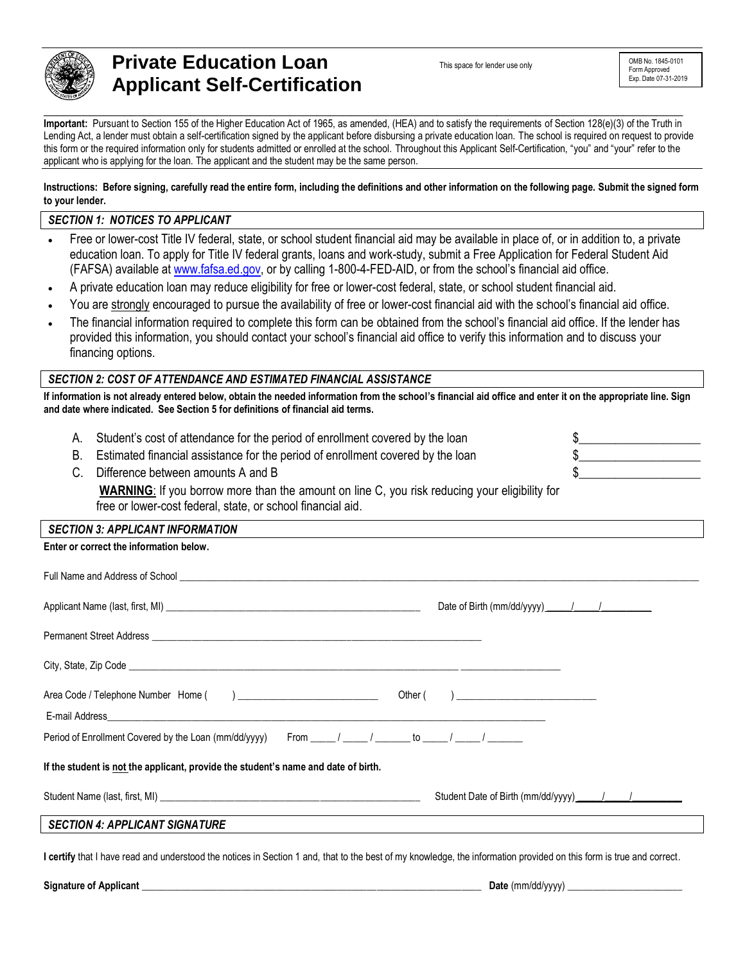

# **Private Education Loan Applicant Self-Certification**

This space for lender use only

OMB No. 1845-0101 Form Approved Exp. Date 07-31-2019

**\_\_\_\_\_\_\_\_\_\_\_\_\_\_\_\_\_\_\_\_\_\_\_\_\_\_\_\_\_\_\_\_\_\_\_\_\_\_\_\_\_\_\_\_\_\_\_\_\_\_\_\_\_\_\_\_\_\_\_\_\_\_\_\_\_\_\_\_\_\_\_\_\_\_\_\_\_\_\_\_\_\_\_\_\_\_\_\_\_\_\_\_\_\_\_\_ Important:** Pursuant to Section 155 of the Higher Education Act of 1965, as amended, (HEA) and to satisfy the requirements of Section 128(e)(3) of the Truth in Lending Act, a lender must obtain a self-certification signed by the applicant before disbursing a private education loan. The school is required on request to provide this form or the required information only for students admitted or enrolled at the school. Throughout this Applicant Self-Certification, "you" and "your" refer to the applicant who is applying for the loan. The applicant and the student may be the same person.

**Instructions: Before signing, carefully read the entire form, including the definitions and other information on the following page. Submit the signed form to your lender.** 

## *SECTION 1: NOTICES TO APPLICANT*

- Free or lower-cost Title IV federal, state, or school student financial aid may be available in place of, or in addition to, a private education loan. To apply for Title IV federal grants, loans and work-study, submit a Free Application for Federal Student Aid (FAFSA) available at [www.fafsa.ed.gov,](http://www.fafsa.ed.gov/) or by calling 1-800-4-FED-AID, or from the school's financial aid office.
- A private education loan may reduce eligibility for free or lower-cost federal, state, or school student financial aid.
- You are strongly encouraged to pursue the availability of free or lower-cost financial aid with the school's financial aid office.
- The financial information required to complete this form can be obtained from the school's financial aid office. If the lender has provided this information, you should contact your school's financial aid office to verify this information and to discuss your financing options.

## *SECTION 2: COST OF ATTENDANCE AND ESTIMATED FINANCIAL ASSISTANCE*

**If information is not already entered below, obtain the needed information from the school's financial aid office and enter it on the appropriate line. Sign and date where indicated. See Section 5 for definitions of financial aid terms.**

| A. Student's cost of attendance for the period of enrollment covered by the loan   |  |
|------------------------------------------------------------------------------------|--|
| B. Estimated financial assistance for the period of enrollment covered by the loan |  |
| C. Difference between amounts A and B                                              |  |

# **WARNING**: If you borrow more than the amount on line C, you risk reducing your eligibility for free or lower-cost federal, state, or school financial aid.

## *SECTION 3: APPLICANT INFORMATION*

| Enter or correct the information below.                                                                                                                              |                                                                                  |  |  |
|----------------------------------------------------------------------------------------------------------------------------------------------------------------------|----------------------------------------------------------------------------------|--|--|
|                                                                                                                                                                      |                                                                                  |  |  |
|                                                                                                                                                                      |                                                                                  |  |  |
|                                                                                                                                                                      |                                                                                  |  |  |
|                                                                                                                                                                      |                                                                                  |  |  |
|                                                                                                                                                                      |                                                                                  |  |  |
|                                                                                                                                                                      |                                                                                  |  |  |
| Period of Enrollment Covered by the Loan (mm/dd/yyyy) From _____/ _____/ ______ to _____/ ______/ _______                                                            |                                                                                  |  |  |
| If the student is not the applicant, provide the student's name and date of birth.                                                                                   |                                                                                  |  |  |
|                                                                                                                                                                      |                                                                                  |  |  |
| <b>SECTION 4: APPLICANT SIGNATURE</b>                                                                                                                                | ,我们也不会有什么。""我们的人,我们也不会有什么?""我们的人,我们也不会有什么?""我们的人,我们也不会有什么?""我们的人,我们也不会有什么?""我们的人 |  |  |
| I certify that I have read and understood the notices in Section 1 and, that to the best of my knowledge, the information provided on this form is true and correct. |                                                                                  |  |  |

Signature of Applicant **by a structure** of Applicant **and Signature** of Applicant **and Signature** of Applicant **and Signature** of Applicant **and Signature** of Applicant **and Signature** of Applicant **and Signature** of Appli